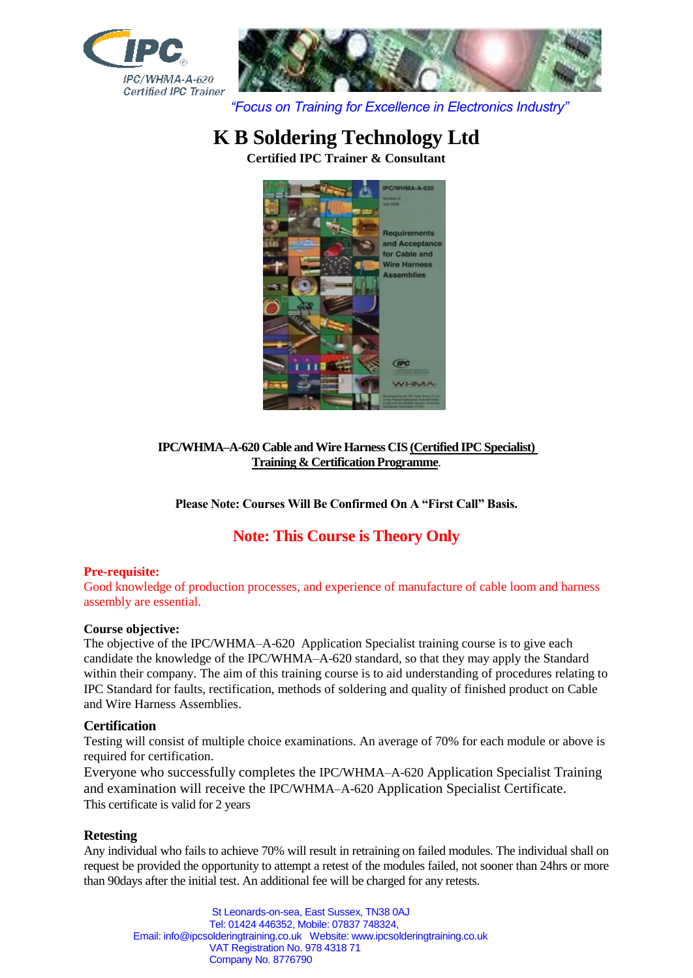



*"Focus on Training for Excellence in Electronics Industry"*

# **K B Soldering Technology Ltd**

**Certified IPC Trainer & Consultant**



#### **IPC/WHMA–A-620 Cable and Wire Harness CIS (Certified IPC Specialist) Training & Certification Programme**.

**Please Note: Courses Will Be Confirmed On A "First Call" Basis.**

## **Note: This Course is Theory Only**

#### **Pre-requisite:**

Good knowledge of production processes, and experience of manufacture of cable loom and harness assembly are essential.

#### **Course objective:**

The objective of the IPC/WHMA–A-620 Application Specialist training course is to give each candidate the knowledge of the IPC/WHMA–A-620 standard, so that they may apply the Standard within their company. The aim of this training course is to aid understanding of procedures relating to IPC Standard for faults, rectification, methods of soldering and quality of finished product on Cable and Wire Harness Assemblies.

#### **Certification**

Testing will consist of multiple choice examinations. An average of 70% for each module or above is required for certification.

Everyone who successfully completes the IPC/WHMA–A-620 Application Specialist Training and examination will receive the IPC/WHMA–A-620 Application Specialist Certificate. This certificate is valid for 2 years

#### **Retesting**

Any individual who fails to achieve 70% will result in retraining on failed modules. The individual shall on request be provided the opportunity to attempt a retest of the modules failed, not sooner than 24hrs or more than 90days after the initial test. An additional fee will be charged for any retests.

St Leonards-on-sea, East Sussex, TN38 0AJ Tel: 01424 446352, Mobile: 07837 748324, Email: info@ipcsolderingtraining.co.uk Website: www.ipcsolderingtraining.co.uk VAT Registration No. 978 4318 71 Company No. 8776790